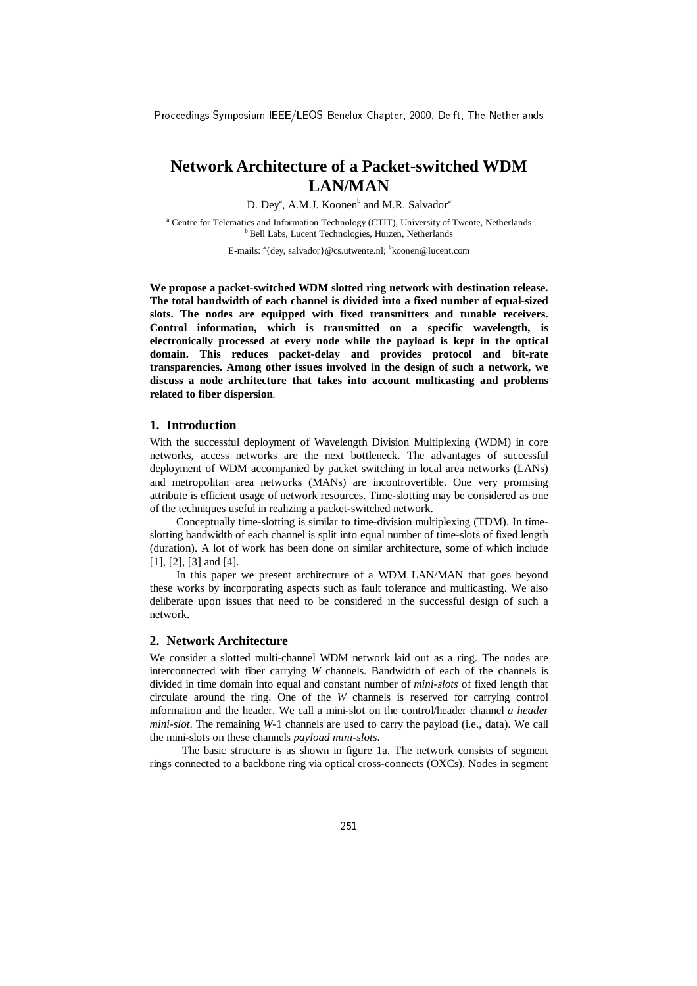# **Network Architecture of a Packet-switched WDM LAN/MAN**

D. Dey<sup>a</sup>, A.M.J. Koonen<sup>b</sup> and M.R. Salvador<sup>a</sup>

<sup>a</sup> Centre for Telematics and Information Technology (CTIT), University of Twente, Netherlands <sup>b</sup> Bell Labs, Lucent Technologies, Huizen, Netherlands

E-mails: <sup>a</sup>{dey, salvador}@cs.utwente.nl; <sup>b</sup>koonen@lucent.com

**We propose a packet-switched WDM slotted ring network with destination release. The total bandwidth of each channel is divided into a fixed number of equal-sized slots. The nodes are equipped with fixed transmitters and tunable receivers. Control information, which is transmitted on a specific wavelength, is electronically processed at every node while the payload is kept in the optical domain. This reduces packet-delay and provides protocol and bit-rate transparencies. Among other issues involved in the design of such a network, we discuss a node architecture that takes into account multicasting and problems related to fiber dispersion***.*

# **1. Introduction**

With the successful deployment of Wavelength Division Multiplexing (WDM) in core networks, access networks are the next bottleneck. The advantages of successful deployment of WDM accompanied by packet switching in local area networks (LANs) and metropolitan area networks (MANs) are incontrovertible. One very promising attribute is efficient usage of network resources. Time-slotting may be considered as one of the techniques useful in realizing a packet-switched network.

Conceptually time-slotting is similar to time-division multiplexing (TDM). In timeslotting bandwidth of each channel is split into equal number of time-slots of fixed length (duration). A lot of work has been done on similar architecture, some of which include [1], [2], [3] and [4].

In this paper we present architecture of a WDM LAN/MAN that goes beyond these works by incorporating aspects such as fault tolerance and multicasting. We also deliberate upon issues that need to be considered in the successful design of such a network.

# **2. Network Architecture**

We consider a slotted multi-channel WDM network laid out as a ring. The nodes are interconnected with fiber carrying *W* channels. Bandwidth of each of the channels is divided in time domain into equal and constant number of *mini-slots* of fixed length that circulate around the ring. One of the *W* channels is reserved for carrying control information and the header. We call a mini-slot on the control/header channel *a header mini-slot*. The remaining *W-*1 channels are used to carry the payload (i.e., data). We call the mini-slots on these channels *payload mini-slots*.

The basic structure is as shown in figure 1a. The network consists of segment rings connected to a backbone ring via optical cross-connects (OXCs). Nodes in segment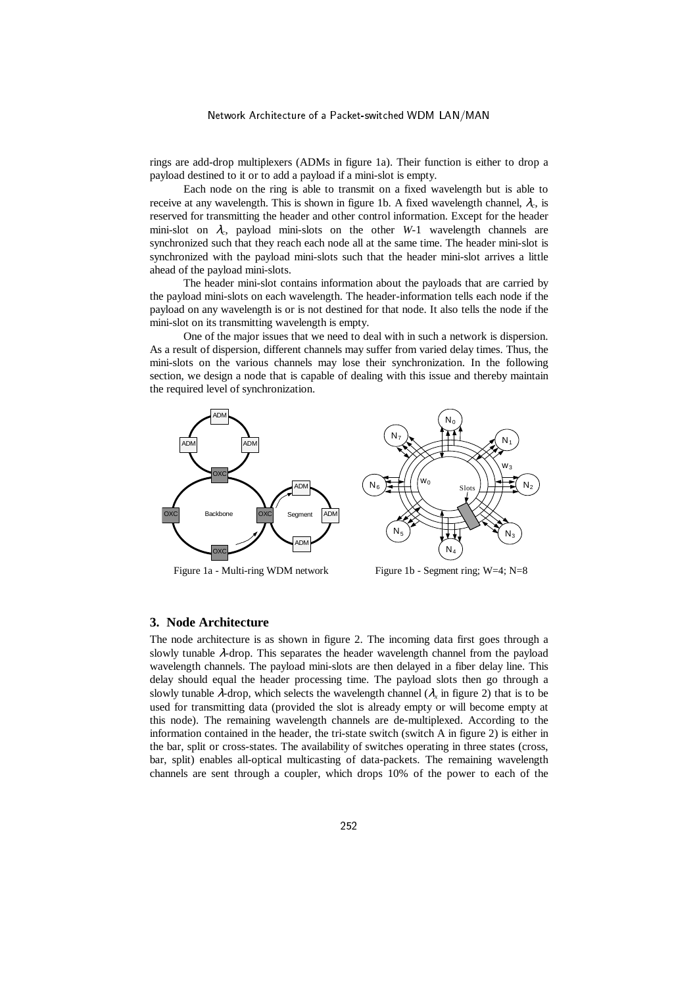rings are add-drop multiplexers (ADMs in figure 1a). Their function is either to drop a payload destined to it or to add a payload if a mini-slot is empty.

Each node on the ring is able to transmit on a fixed wavelength but is able to receive at any wavelength. This is shown in figure 1b. A fixed wavelength channel,  $\lambda_c$ , is reserved for transmitting the header and other control information. Except for the header mini-slot on λ*c*, payload mini-slots on the other *W-*1 wavelength channels are synchronized such that they reach each node all at the same time. The header mini-slot is synchronized with the payload mini-slots such that the header mini-slot arrives a little ahead of the payload mini-slots.

The header mini-slot contains information about the payloads that are carried by the payload mini-slots on each wavelength. The header-information tells each node if the payload on any wavelength is or is not destined for that node. It also tells the node if the mini-slot on its transmitting wavelength is empty.

One of the major issues that we need to deal with in such a network is dispersion. As a result of dispersion, different channels may suffer from varied delay times. Thus, the mini-slots on the various channels may lose their synchronization. In the following section, we design a node that is capable of dealing with this issue and thereby maintain the required level of synchronization.





Figure 1a - Multi-ring WDM network Figure 1b - Segment ring; W=4; N=8

#### **3. Node Architecture**

The node architecture is as shown in figure 2. The incoming data first goes through a slowly tunable λ-drop. This separates the header wavelength channel from the payload wavelength channels. The payload mini-slots are then delayed in a fiber delay line. This delay should equal the header processing time. The payload slots then go through a slowly tunable  $\lambda$ -drop, which selects the wavelength channel ( $\lambda_x$  in figure 2) that is to be used for transmitting data (provided the slot is already empty or will become empty at this node). The remaining wavelength channels are de-multiplexed. According to the information contained in the header, the tri-state switch (switch A in figure 2) is either in the bar, split or cross-states. The availability of switches operating in three states (cross, bar, split) enables all-optical multicasting of data-packets. The remaining wavelength channels are sent through a coupler, which drops 10% of the power to each of the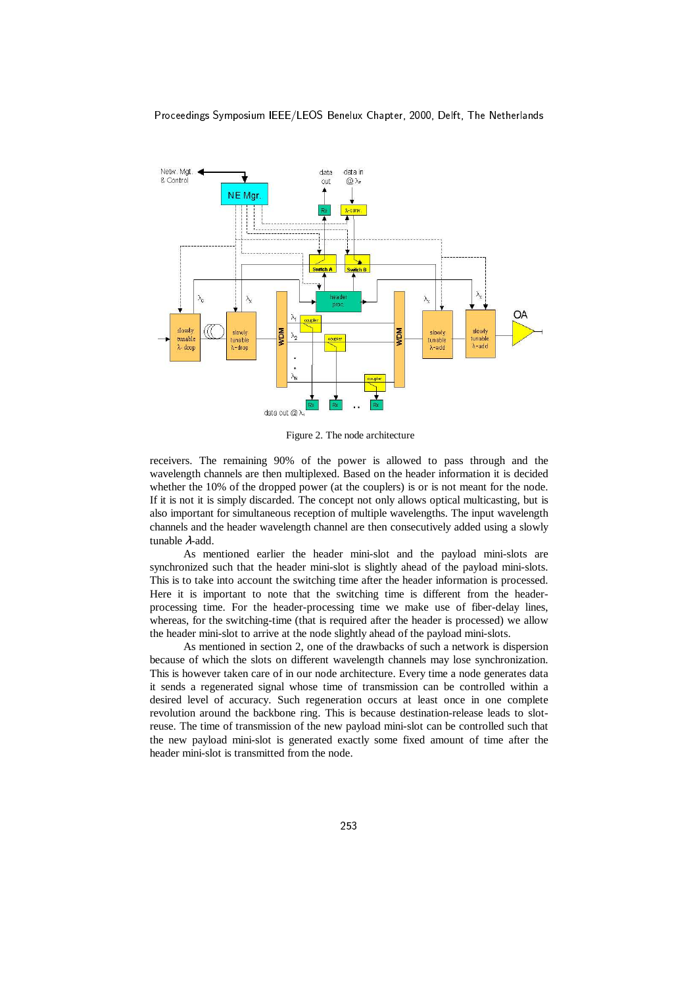

Figure 2. The node architecture

receivers. The remaining 90% of the power is allowed to pass through and the wavelength channels are then multiplexed. Based on the header information it is decided whether the 10% of the dropped power (at the couplers) is or is not meant for the node. If it is not it is simply discarded. The concept not only allows optical multicasting, but is also important for simultaneous reception of multiple wavelengths. The input wavelength channels and the header wavelength channel are then consecutively added using a slowly tunable λ-add.

As mentioned earlier the header mini-slot and the payload mini-slots are synchronized such that the header mini-slot is slightly ahead of the payload mini-slots. This is to take into account the switching time after the header information is processed. Here it is important to note that the switching time is different from the headerprocessing time. For the header-processing time we make use of fiber-delay lines, whereas, for the switching-time (that is required after the header is processed) we allow the header mini-slot to arrive at the node slightly ahead of the payload mini-slots.

As mentioned in section 2, one of the drawbacks of such a network is dispersion because of which the slots on different wavelength channels may lose synchronization. This is however taken care of in our node architecture. Every time a node generates data it sends a regenerated signal whose time of transmission can be controlled within a desired level of accuracy. Such regeneration occurs at least once in one complete revolution around the backbone ring. This is because destination-release leads to slotreuse. The time of transmission of the new payload mini-slot can be controlled such that the new payload mini-slot is generated exactly some fixed amount of time after the header mini-slot is transmitted from the node.